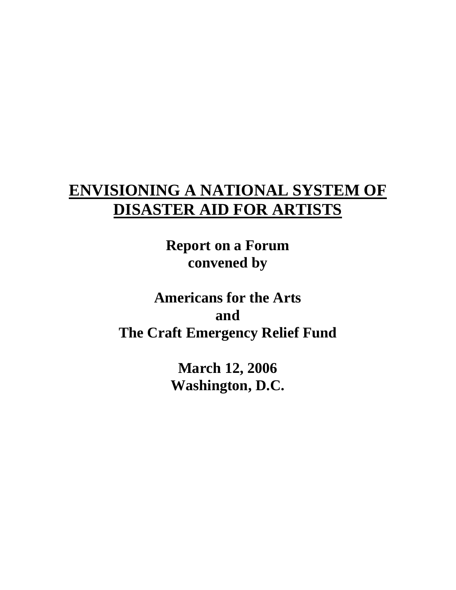# **ENVISIONING A NATIONAL SYSTEM OF DISASTER AID FOR ARTISTS**

**Report on a Forum convened by** 

**Americans for the Arts and The Craft Emergency Relief Fund**

> **March 12, 2006 Washington, D.C.**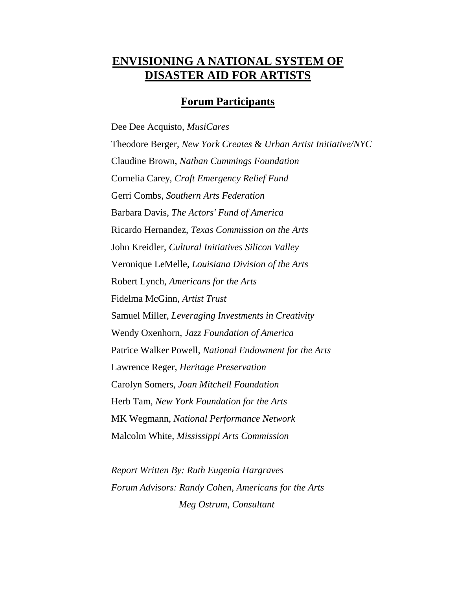# **ENVISIONING A NATIONAL SYSTEM OF DISASTER AID FOR ARTISTS**

## **Forum Participants**

Dee Dee Acquisto, *MusiCares* Theodore Berger, *New York Creates* & *Urban Artist Initiative/NYC* Claudine Brown, *Nathan Cummings Foundation* Cornelia Carey, *Craft Emergency Relief Fund* Gerri Combs, *Southern Arts Federation* Barbara Davis, *The Actors' Fund of America* Ricardo Hernandez, *Texas Commission on the Arts* John Kreidler, *Cultural Initiatives Silicon Valley* Veronique LeMelle, *Louisiana Division of the Arts* Robert Lynch, *Americans for the Arts* Fidelma McGinn, *Artist Trust* Samuel Miller, *Leveraging Investments in Creativity* Wendy Oxenhorn, *Jazz Foundation of America* Patrice Walker Powell, *National Endowment for the Arts* Lawrence Reger, *Heritage Preservation* Carolyn Somers, *Joan Mitchell Foundation* Herb Tam, *New York Foundation for the Arts* MK Wegmann, *National Performance Network* Malcolm White, *Mississippi Arts Commission*

*Report Written By: Ruth Eugenia Hargraves Forum Advisors: Randy Cohen, Americans for the Arts Meg Ostrum, Consultant*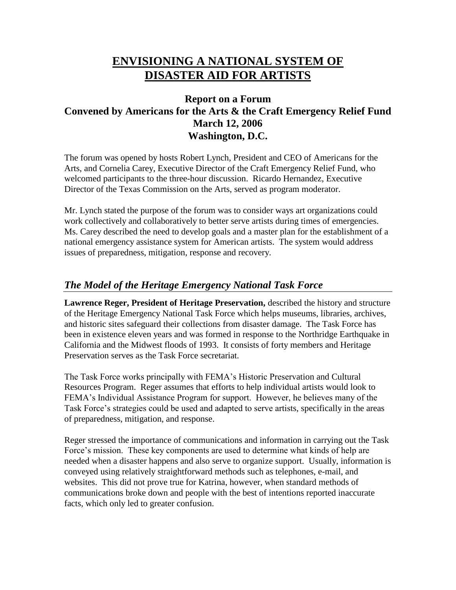# **ENVISIONING A NATIONAL SYSTEM OF DISASTER AID FOR ARTISTS**

# **Report on a Forum Convened by Americans for the Arts & the Craft Emergency Relief Fund March 12, 2006 Washington, D.C.**

The forum was opened by hosts Robert Lynch, President and CEO of Americans for the Arts, and Cornelia Carey, Executive Director of the Craft Emergency Relief Fund, who welcomed participants to the three-hour discussion. Ricardo Hernandez, Executive Director of the Texas Commission on the Arts, served as program moderator.

Mr. Lynch stated the purpose of the forum was to consider ways art organizations could work collectively and collaboratively to better serve artists during times of emergencies. Ms. Carey described the need to develop goals and a master plan for the establishment of a national emergency assistance system for American artists. The system would address issues of preparedness, mitigation, response and recovery.

# *The Model of the Heritage Emergency National Task Force*

**Lawrence Reger, President of Heritage Preservation,** described the history and structure of the Heritage Emergency National Task Force which helps museums, libraries, archives, and historic sites safeguard their collections from disaster damage. The Task Force has been in existence eleven years and was formed in response to the Northridge Earthquake in California and the Midwest floods of 1993. It consists of forty members and Heritage Preservation serves as the Task Force secretariat.

The Task Force works principally with FEMA's Historic Preservation and Cultural Resources Program. Reger assumes that efforts to help individual artists would look to FEMA's Individual Assistance Program for support. However, he believes many of the Task Force's strategies could be used and adapted to serve artists, specifically in the areas of preparedness, mitigation, and response.

Reger stressed the importance of communications and information in carrying out the Task Force's mission. These key components are used to determine what kinds of help are needed when a disaster happens and also serve to organize support. Usually, information is conveyed using relatively straightforward methods such as telephones, e-mail, and websites. This did not prove true for Katrina, however, when standard methods of communications broke down and people with the best of intentions reported inaccurate facts, which only led to greater confusion.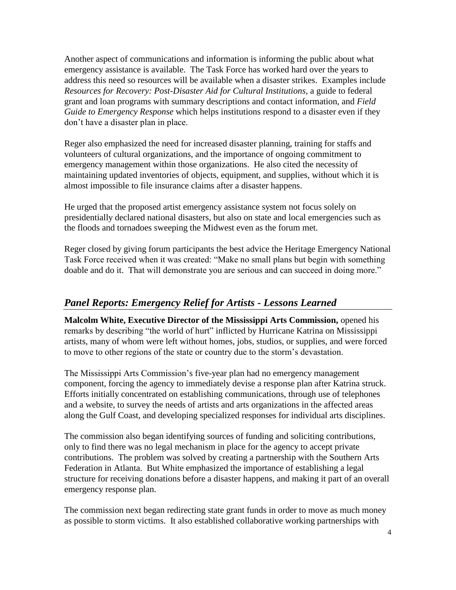Another aspect of communications and information is informing the public about what emergency assistance is available. The Task Force has worked hard over the years to address this need so resources will be available when a disaster strikes. Examples include *Resources for Recovery: Post-Disaster Aid for Cultural Institutions,* a guide to federal grant and loan programs with summary descriptions and contact information, and *Field Guide to Emergency Response* which helps institutions respond to a disaster even if they don't have a disaster plan in place.

Reger also emphasized the need for increased disaster planning, training for staffs and volunteers of cultural organizations, and the importance of ongoing commitment to emergency management within those organizations. He also cited the necessity of maintaining updated inventories of objects, equipment, and supplies, without which it is almost impossible to file insurance claims after a disaster happens.

He urged that the proposed artist emergency assistance system not focus solely on presidentially declared national disasters, but also on state and local emergencies such as the floods and tornadoes sweeping the Midwest even as the forum met.

Reger closed by giving forum participants the best advice the Heritage Emergency National Task Force received when it was created: "Make no small plans but begin with something doable and do it. That will demonstrate you are serious and can succeed in doing more."

# *Panel Reports: Emergency Relief for Artists - Lessons Learned*

**Malcolm White, Executive Director of the Mississippi Arts Commission,** opened his remarks by describing "the world of hurt" inflicted by Hurricane Katrina on Mississippi artists, many of whom were left without homes, jobs, studios, or supplies, and were forced to move to other regions of the state or country due to the storm's devastation.

The Mississippi Arts Commission's five-year plan had no emergency management component, forcing the agency to immediately devise a response plan after Katrina struck. Efforts initially concentrated on establishing communications, through use of telephones and a website, to survey the needs of artists and arts organizations in the affected areas along the Gulf Coast, and developing specialized responses for individual arts disciplines.

The commission also began identifying sources of funding and soliciting contributions, only to find there was no legal mechanism in place for the agency to accept private contributions. The problem was solved by creating a partnership with the Southern Arts Federation in Atlanta. But White emphasized the importance of establishing a legal structure for receiving donations before a disaster happens, and making it part of an overall emergency response plan.

The commission next began redirecting state grant funds in order to move as much money as possible to storm victims. It also established collaborative working partnerships with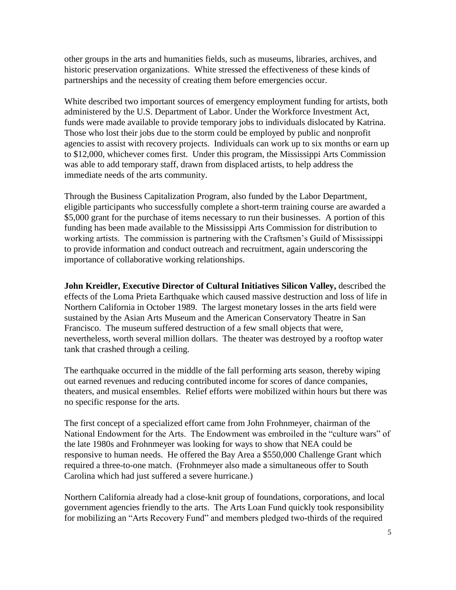other groups in the arts and humanities fields, such as museums, libraries, archives, and historic preservation organizations. White stressed the effectiveness of these kinds of partnerships and the necessity of creating them before emergencies occur.

White described two important sources of emergency employment funding for artists, both administered by the U.S. Department of Labor. Under the Workforce Investment Act, funds were made available to provide temporary jobs to individuals dislocated by Katrina. Those who lost their jobs due to the storm could be employed by public and nonprofit agencies to assist with recovery projects. Individuals can work up to six months or earn up to \$12,000, whichever comes first. Under this program, the Mississippi Arts Commission was able to add temporary staff, drawn from displaced artists, to help address the immediate needs of the arts community.

Through the Business Capitalization Program, also funded by the Labor Department, eligible participants who successfully complete a short-term training course are awarded a \$5,000 grant for the purchase of items necessary to run their businesses. A portion of this funding has been made available to the Mississippi Arts Commission for distribution to working artists. The commission is partnering with the Craftsmen's Guild of Mississippi to provide information and conduct outreach and recruitment, again underscoring the importance of collaborative working relationships.

**John Kreidler, Executive Director of Cultural Initiatives Silicon Valley,** described the effects of the Loma Prieta Earthquake which caused massive destruction and loss of life in Northern California in October 1989. The largest monetary losses in the arts field were sustained by the Asian Arts Museum and the American Conservatory Theatre in San Francisco. The museum suffered destruction of a few small objects that were, nevertheless, worth several million dollars. The theater was destroyed by a rooftop water tank that crashed through a ceiling.

The earthquake occurred in the middle of the fall performing arts season, thereby wiping out earned revenues and reducing contributed income for scores of dance companies, theaters, and musical ensembles. Relief efforts were mobilized within hours but there was no specific response for the arts.

The first concept of a specialized effort came from John Frohnmeyer, chairman of the National Endowment for the Arts. The Endowment was embroiled in the "culture wars" of the late 1980s and Frohnmeyer was looking for ways to show that NEA could be responsive to human needs. He offered the Bay Area a \$550,000 Challenge Grant which required a three-to-one match. (Frohnmeyer also made a simultaneous offer to South Carolina which had just suffered a severe hurricane.)

Northern California already had a close-knit group of foundations, corporations, and local government agencies friendly to the arts. The Arts Loan Fund quickly took responsibility for mobilizing an "Arts Recovery Fund" and members pledged two-thirds of the required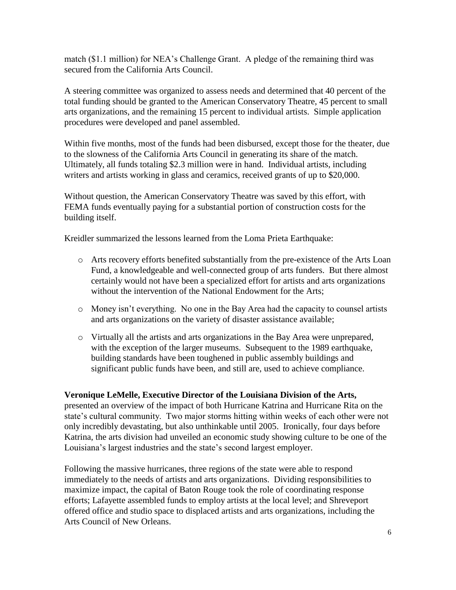match (\$1.1 million) for NEA's Challenge Grant. A pledge of the remaining third was secured from the California Arts Council.

A steering committee was organized to assess needs and determined that 40 percent of the total funding should be granted to the American Conservatory Theatre, 45 percent to small arts organizations, and the remaining 15 percent to individual artists. Simple application procedures were developed and panel assembled.

Within five months, most of the funds had been disbursed, except those for the theater, due to the slowness of the California Arts Council in generating its share of the match. Ultimately, all funds totaling \$2.3 million were in hand. Individual artists, including writers and artists working in glass and ceramics, received grants of up to \$20,000.

Without question, the American Conservatory Theatre was saved by this effort, with FEMA funds eventually paying for a substantial portion of construction costs for the building itself.

Kreidler summarized the lessons learned from the Loma Prieta Earthquake:

- o Arts recovery efforts benefited substantially from the pre-existence of the Arts Loan Fund, a knowledgeable and well-connected group of arts funders. But there almost certainly would not have been a specialized effort for artists and arts organizations without the intervention of the National Endowment for the Arts;
- o Money isn't everything. No one in the Bay Area had the capacity to counsel artists and arts organizations on the variety of disaster assistance available;
- o Virtually all the artists and arts organizations in the Bay Area were unprepared, with the exception of the larger museums. Subsequent to the 1989 earthquake, building standards have been toughened in public assembly buildings and significant public funds have been, and still are, used to achieve compliance.

#### **Veronique LeMelle, Executive Director of the Louisiana Division of the Arts,**

presented an overview of the impact of both Hurricane Katrina and Hurricane Rita on the state's cultural community. Two major storms hitting within weeks of each other were not only incredibly devastating, but also unthinkable until 2005. Ironically, four days before Katrina, the arts division had unveiled an economic study showing culture to be one of the Louisiana's largest industries and the state's second largest employer.

Following the massive hurricanes, three regions of the state were able to respond immediately to the needs of artists and arts organizations. Dividing responsibilities to maximize impact, the capital of Baton Rouge took the role of coordinating response efforts; Lafayette assembled funds to employ artists at the local level; and Shreveport offered office and studio space to displaced artists and arts organizations, including the Arts Council of New Orleans.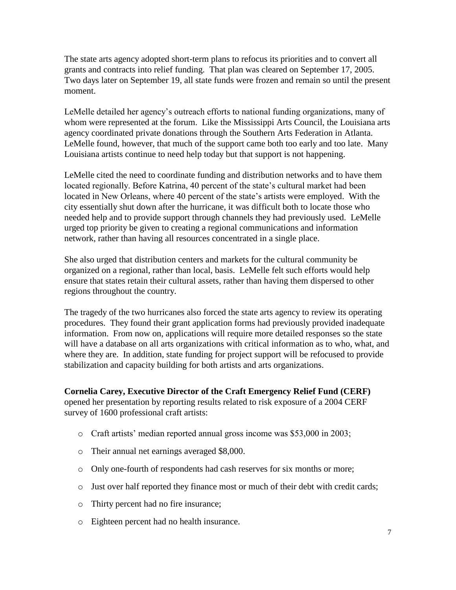The state arts agency adopted short-term plans to refocus its priorities and to convert all grants and contracts into relief funding. That plan was cleared on September 17, 2005. Two days later on September 19, all state funds were frozen and remain so until the present moment.

LeMelle detailed her agency's outreach efforts to national funding organizations, many of whom were represented at the forum. Like the Mississippi Arts Council, the Louisiana arts agency coordinated private donations through the Southern Arts Federation in Atlanta. LeMelle found, however, that much of the support came both too early and too late. Many Louisiana artists continue to need help today but that support is not happening.

LeMelle cited the need to coordinate funding and distribution networks and to have them located regionally. Before Katrina, 40 percent of the state's cultural market had been located in New Orleans, where 40 percent of the state's artists were employed. With the city essentially shut down after the hurricane, it was difficult both to locate those who needed help and to provide support through channels they had previously used. LeMelle urged top priority be given to creating a regional communications and information network, rather than having all resources concentrated in a single place.

She also urged that distribution centers and markets for the cultural community be organized on a regional, rather than local, basis. LeMelle felt such efforts would help ensure that states retain their cultural assets, rather than having them dispersed to other regions throughout the country.

The tragedy of the two hurricanes also forced the state arts agency to review its operating procedures. They found their grant application forms had previously provided inadequate information. From now on, applications will require more detailed responses so the state will have a database on all arts organizations with critical information as to who, what, and where they are. In addition, state funding for project support will be refocused to provide stabilization and capacity building for both artists and arts organizations.

#### **Cornelia Carey, Executive Director of the Craft Emergency Relief Fund (CERF)**

opened her presentation by reporting results related to risk exposure of a 2004 CERF survey of 1600 professional craft artists:

- o Craft artists' median reported annual gross income was \$53,000 in 2003;
- o Their annual net earnings averaged \$8,000.
- o Only one-fourth of respondents had cash reserves for six months or more;
- o Just over half reported they finance most or much of their debt with credit cards;
- o Thirty percent had no fire insurance;
- o Eighteen percent had no health insurance.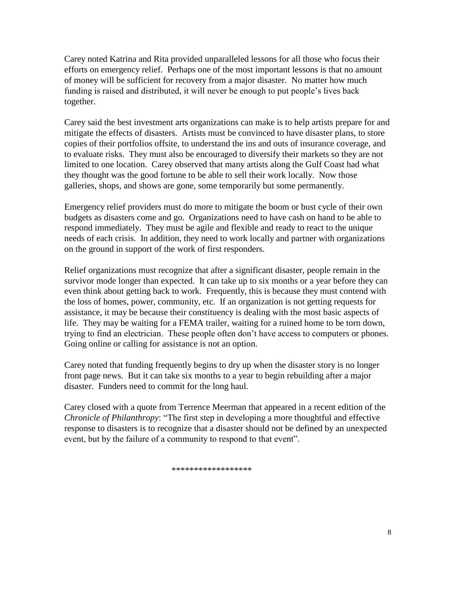Carey noted Katrina and Rita provided unparalleled lessons for all those who focus their efforts on emergency relief. Perhaps one of the most important lessons is that no amount of money will be sufficient for recovery from a major disaster. No matter how much funding is raised and distributed, it will never be enough to put people's lives back together.

Carey said the best investment arts organizations can make is to help artists prepare for and mitigate the effects of disasters. Artists must be convinced to have disaster plans, to store copies of their portfolios offsite, to understand the ins and outs of insurance coverage, and to evaluate risks. They must also be encouraged to diversify their markets so they are not limited to one location. Carey observed that many artists along the Gulf Coast had what they thought was the good fortune to be able to sell their work locally. Now those galleries, shops, and shows are gone, some temporarily but some permanently.

Emergency relief providers must do more to mitigate the boom or bust cycle of their own budgets as disasters come and go. Organizations need to have cash on hand to be able to respond immediately. They must be agile and flexible and ready to react to the unique needs of each crisis. In addition, they need to work locally and partner with organizations on the ground in support of the work of first responders.

Relief organizations must recognize that after a significant disaster, people remain in the survivor mode longer than expected. It can take up to six months or a year before they can even think about getting back to work. Frequently, this is because they must contend with the loss of homes, power, community, etc. If an organization is not getting requests for assistance, it may be because their constituency is dealing with the most basic aspects of life. They may be waiting for a FEMA trailer, waiting for a ruined home to be torn down, trying to find an electrician. These people often don't have access to computers or phones. Going online or calling for assistance is not an option.

Carey noted that funding frequently begins to dry up when the disaster story is no longer front page news. But it can take six months to a year to begin rebuilding after a major disaster. Funders need to commit for the long haul.

Carey closed with a quote from Terrence Meerman that appeared in a recent edition of the *Chronicle of Philanthropy*: "The first step in developing a more thoughtful and effective response to disasters is to recognize that a disaster should not be defined by an unexpected event, but by the failure of a community to respond to that event".

\*\*\*\*\*\*\*\*\*\*\*\*\*\*\*\*\*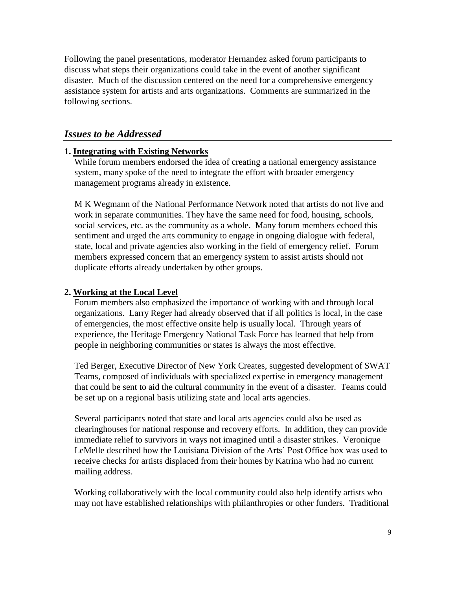Following the panel presentations, moderator Hernandez asked forum participants to discuss what steps their organizations could take in the event of another significant disaster. Much of the discussion centered on the need for a comprehensive emergency assistance system for artists and arts organizations. Comments are summarized in the following sections.

#### *Issues to be Addressed*

#### **1. Integrating with Existing Networks**

While forum members endorsed the idea of creating a national emergency assistance system, many spoke of the need to integrate the effort with broader emergency management programs already in existence.

M K Wegmann of the National Performance Network noted that artists do not live and work in separate communities. They have the same need for food, housing, schools, social services, etc. as the community as a whole. Many forum members echoed this sentiment and urged the arts community to engage in ongoing dialogue with federal, state, local and private agencies also working in the field of emergency relief. Forum members expressed concern that an emergency system to assist artists should not duplicate efforts already undertaken by other groups.

#### **2. Working at the Local Level**

Forum members also emphasized the importance of working with and through local organizations. Larry Reger had already observed that if all politics is local, in the case of emergencies, the most effective onsite help is usually local. Through years of experience, the Heritage Emergency National Task Force has learned that help from people in neighboring communities or states is always the most effective.

Ted Berger, Executive Director of New York Creates, suggested development of SWAT Teams, composed of individuals with specialized expertise in emergency management that could be sent to aid the cultural community in the event of a disaster. Teams could be set up on a regional basis utilizing state and local arts agencies.

Several participants noted that state and local arts agencies could also be used as clearinghouses for national response and recovery efforts. In addition, they can provide immediate relief to survivors in ways not imagined until a disaster strikes. Veronique LeMelle described how the Louisiana Division of the Arts' Post Office box was used to receive checks for artists displaced from their homes by Katrina who had no current mailing address.

Working collaboratively with the local community could also help identify artists who may not have established relationships with philanthropies or other funders. Traditional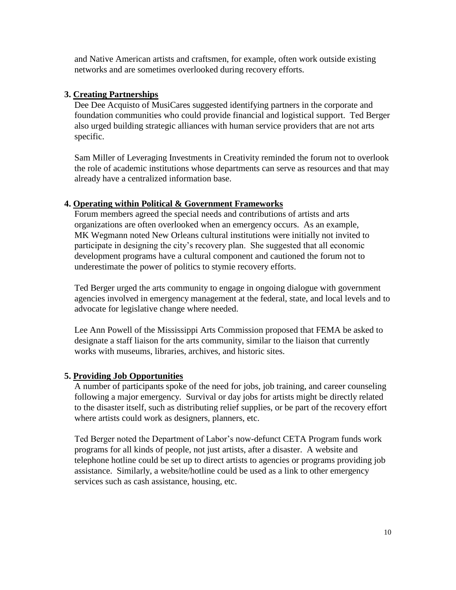and Native American artists and craftsmen, for example, often work outside existing networks and are sometimes overlooked during recovery efforts.

#### **3. Creating Partnerships**

Dee Dee Acquisto of MusiCares suggested identifying partners in the corporate and foundation communities who could provide financial and logistical support. Ted Berger also urged building strategic alliances with human service providers that are not arts specific.

Sam Miller of Leveraging Investments in Creativity reminded the forum not to overlook the role of academic institutions whose departments can serve as resources and that may already have a centralized information base.

#### **4. Operating within Political & Government Frameworks**

Forum members agreed the special needs and contributions of artists and arts organizations are often overlooked when an emergency occurs. As an example, MK Wegmann noted New Orleans cultural institutions were initially not invited to participate in designing the city's recovery plan. She suggested that all economic development programs have a cultural component and cautioned the forum not to underestimate the power of politics to stymie recovery efforts.

Ted Berger urged the arts community to engage in ongoing dialogue with government agencies involved in emergency management at the federal, state, and local levels and to advocate for legislative change where needed.

Lee Ann Powell of the Mississippi Arts Commission proposed that FEMA be asked to designate a staff liaison for the arts community, similar to the liaison that currently works with museums, libraries, archives, and historic sites.

#### **5. Providing Job Opportunities**

A number of participants spoke of the need for jobs, job training, and career counseling following a major emergency. Survival or day jobs for artists might be directly related to the disaster itself, such as distributing relief supplies, or be part of the recovery effort where artists could work as designers, planners, etc.

Ted Berger noted the Department of Labor's now-defunct CETA Program funds work programs for all kinds of people, not just artists, after a disaster. A website and telephone hotline could be set up to direct artists to agencies or programs providing job assistance. Similarly, a website/hotline could be used as a link to other emergency services such as cash assistance, housing, etc.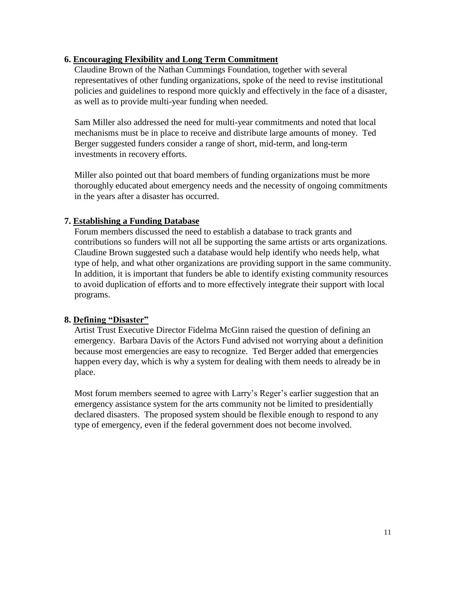#### **6. Encouraging Flexibility and Long Term Commitment**

Claudine Brown of the Nathan Cummings Foundation, together with several representatives of other funding organizations, spoke of the need to revise institutional policies and guidelines to respond more quickly and effectively in the face of a disaster, as well as to provide multi-year funding when needed.

Sam Miller also addressed the need for multi-year commitments and noted that local mechanisms must be in place to receive and distribute large amounts of money. Ted Berger suggested funders consider a range of short, mid-term, and long-term investments in recovery efforts.

Miller also pointed out that board members of funding organizations must be more thoroughly educated about emergency needs and the necessity of ongoing commitments in the years after a disaster has occurred.

#### **7. Establishing a Funding Database**

Forum members discussed the need to establish a database to track grants and contributions so funders will not all be supporting the same artists or arts organizations. Claudine Brown suggested such a database would help identify who needs help, what type of help, and what other organizations are providing support in the same community. In addition, it is important that funders be able to identify existing community resources to avoid duplication of efforts and to more effectively integrate their support with local programs.

#### **8. Defining "Disaster"**

Artist Trust Executive Director Fidelma McGinn raised the question of defining an emergency. Barbara Davis of the Actors Fund advised not worrying about a definition because most emergencies are easy to recognize. Ted Berger added that emergencies happen every day, which is why a system for dealing with them needs to already be in place.

Most forum members seemed to agree with Larry's Reger's earlier suggestion that an emergency assistance system for the arts community not be limited to presidentially declared disasters. The proposed system should be flexible enough to respond to any type of emergency, even if the federal government does not become involved.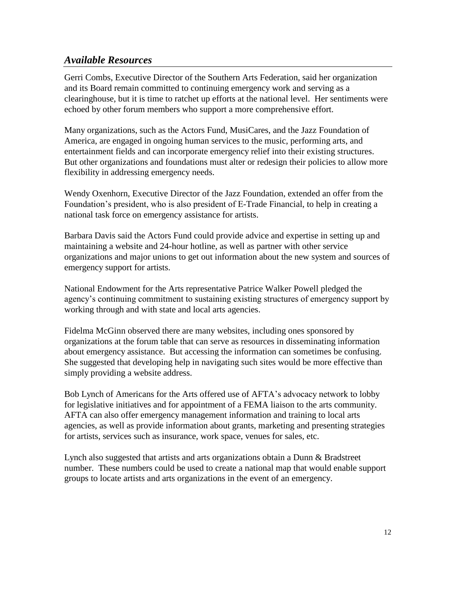### *Available Resources*

Gerri Combs, Executive Director of the Southern Arts Federation, said her organization and its Board remain committed to continuing emergency work and serving as a clearinghouse, but it is time to ratchet up efforts at the national level. Her sentiments were echoed by other forum members who support a more comprehensive effort.

Many organizations, such as the Actors Fund, MusiCares, and the Jazz Foundation of America, are engaged in ongoing human services to the music, performing arts, and entertainment fields and can incorporate emergency relief into their existing structures. But other organizations and foundations must alter or redesign their policies to allow more flexibility in addressing emergency needs.

Wendy Oxenhorn, Executive Director of the Jazz Foundation, extended an offer from the Foundation's president, who is also president of E-Trade Financial, to help in creating a national task force on emergency assistance for artists.

Barbara Davis said the Actors Fund could provide advice and expertise in setting up and maintaining a website and 24-hour hotline, as well as partner with other service organizations and major unions to get out information about the new system and sources of emergency support for artists.

National Endowment for the Arts representative Patrice Walker Powell pledged the agency's continuing commitment to sustaining existing structures of emergency support by working through and with state and local arts agencies.

Fidelma McGinn observed there are many websites, including ones sponsored by organizations at the forum table that can serve as resources in disseminating information about emergency assistance. But accessing the information can sometimes be confusing. She suggested that developing help in navigating such sites would be more effective than simply providing a website address.

Bob Lynch of Americans for the Arts offered use of AFTA's advocacy network to lobby for legislative initiatives and for appointment of a FEMA liaison to the arts community. AFTA can also offer emergency management information and training to local arts agencies, as well as provide information about grants, marketing and presenting strategies for artists, services such as insurance, work space, venues for sales, etc.

Lynch also suggested that artists and arts organizations obtain a Dunn & Bradstreet number. These numbers could be used to create a national map that would enable support groups to locate artists and arts organizations in the event of an emergency.